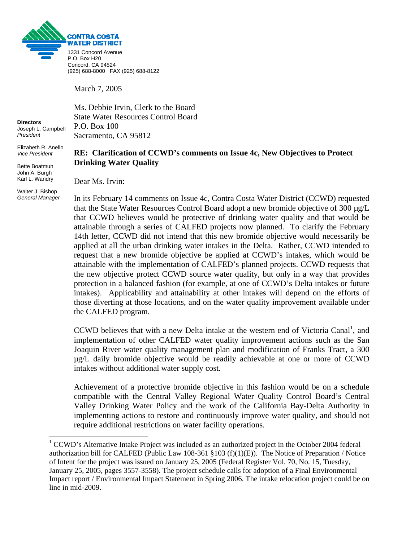

March 7, 2005

Ms. Debbie Irvin, Clerk to the Board State Water Resources Control Board P.O. Box 100 Sacramento, CA 95812

## **RE: Clarification of CCWD's comments on Issue 4c, New Objectives to Protect Drinking Water Quality**

Dear Ms. Irvin:

In its February 14 comments on Issue 4c, Contra Costa Water District (CCWD) requested that the State Water Resources Control Board adopt a new bromide objective of 300 µg/L that CCWD believes would be protective of drinking water quality and that would be attainable through a series of CALFED projects now planned. To clarify the February 14th letter, CCWD did not intend that this new bromide objective would necessarily be applied at all the urban drinking water intakes in the Delta. Rather, CCWD intended to request that a new bromide objective be applied at CCWD's intakes, which would be attainable with the implementation of CALFED's planned projects. CCWD requests that the new objective protect CCWD source water quality, but only in a way that provides protection in a balanced fashion (for example, at one of CCWD's Delta intakes or future intakes). Applicability and attainability at other intakes will depend on the efforts of those diverting at those locations, and on the water quality improvement available under the CALFED program.

CCWD believes that with a new Delta intake at the western end of Victoria Canal<sup>[1](#page-0-0)</sup>, and implementation of other CALFED water quality improvement actions such as the San Joaquin River water quality management plan and modification of Franks Tract, a 300 µg/L daily bromide objective would be readily achievable at one or more of CCWD intakes without additional water supply cost.

Achievement of a protective bromide objective in this fashion would be on a schedule compatible with the Central Valley Regional Water Quality Control Board's Central Valley Drinking Water Policy and the work of the California Bay-Delta Authority in implementing actions to restore and continuously improve water quality, and should not require additional restrictions on water facility operations.

**Directors**  Joseph L. Campbell *President* 

Elizabeth R. Anello *Vice President* 

Bette Boatmun John A. Burgh Karl L. Wandry

Walter J. Bishop *General Manager*

1

<span id="page-0-0"></span><sup>&</sup>lt;sup>1</sup> CCWD's Alternative Intake Project was included as an authorized project in the October 2004 federal authorization bill for CALFED (Public Law 108-361 §103 (f)(1)(E)). The Notice of Preparation / Notice of Intent for the project was issued on January 25, 2005 (Federal Register Vol. 70, No. 15, Tuesday, January 25, 2005, pages 3557-3558). The project schedule calls for adoption of a Final Environmental Impact report / Environmental Impact Statement in Spring 2006. The intake relocation project could be on line in mid-2009.